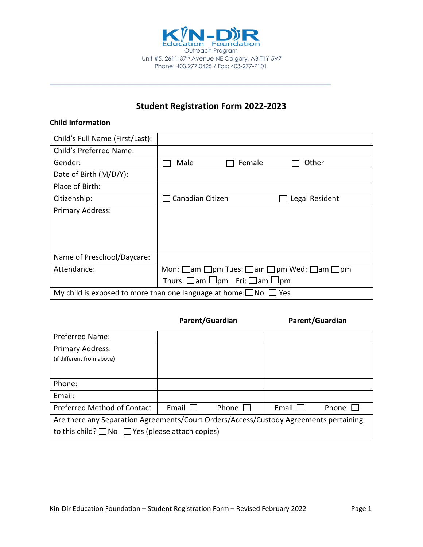

# **Student Registration Form 2022-2023**

**\_\_\_\_\_\_\_\_\_\_\_\_\_\_\_\_\_\_\_\_\_\_\_\_\_\_\_\_\_\_\_\_\_\_\_\_\_\_\_\_\_\_\_\_\_\_\_\_\_\_\_\_\_\_\_\_\_\_\_\_\_**

### **Child Information**

| Child's Full Name (First/Last):                                                   |                                                                             |  |  |
|-----------------------------------------------------------------------------------|-----------------------------------------------------------------------------|--|--|
| Child's Preferred Name:                                                           |                                                                             |  |  |
| Gender:                                                                           | Male<br>Female<br>Other                                                     |  |  |
| Date of Birth (M/D/Y):                                                            |                                                                             |  |  |
| Place of Birth:                                                                   |                                                                             |  |  |
| Citizenship:                                                                      | Canadian Citizen<br>Legal Resident                                          |  |  |
| Primary Address:                                                                  |                                                                             |  |  |
|                                                                                   |                                                                             |  |  |
|                                                                                   |                                                                             |  |  |
|                                                                                   |                                                                             |  |  |
| Name of Preschool/Daycare:                                                        |                                                                             |  |  |
| Attendance:                                                                       | Mon: $\Box$ am $\Box$ pm Tues: $\Box$ am $\Box$ pm Wed: $\Box$ am $\Box$ pm |  |  |
|                                                                                   | Thurs: $\square$ am $\square$ pm Fri: $\square$ am $\square$ pm             |  |  |
| My child is exposed to more than one language at home: $\square$ No $\square$ Yes |                                                                             |  |  |

### Parent/Guardian **Parent/Guardian**

| <b>Preferred Name:</b>                                                                |              |       |              |       |
|---------------------------------------------------------------------------------------|--------------|-------|--------------|-------|
| Primary Address:                                                                      |              |       |              |       |
| (if different from above)                                                             |              |       |              |       |
|                                                                                       |              |       |              |       |
| Phone:                                                                                |              |       |              |       |
| Email:                                                                                |              |       |              |       |
| Preferred Method of Contact                                                           | Email $\Box$ | Phone | Email $\Box$ | Phone |
| Are there any Separation Agreements/Court Orders/Access/Custody Agreements pertaining |              |       |              |       |
| to this child? $\Box$ No $\Box$ Yes (please attach copies)                            |              |       |              |       |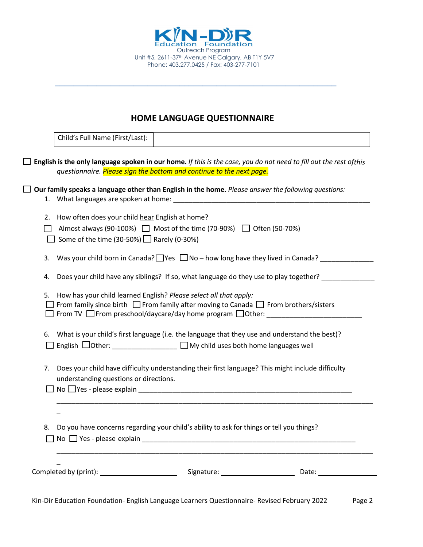

### **HOME LANGUAGE QUESTIONNAIRE**

**\_\_\_\_\_\_\_\_\_\_\_\_\_\_\_\_\_\_\_\_\_\_\_\_\_\_\_\_\_\_\_\_\_\_\_\_\_\_\_\_\_\_\_\_\_\_\_\_\_\_\_\_\_\_\_\_\_\_\_\_\_**

|    | Child's Full Name (First/Last):                                                                                                                                                                                                                    |
|----|----------------------------------------------------------------------------------------------------------------------------------------------------------------------------------------------------------------------------------------------------|
|    | English is the only language spoken in our home. If this is the case, you do not need to fill out the rest ofthis                                                                                                                                  |
|    | questionnaire. Please sign the bottom and continue to the next page.                                                                                                                                                                               |
|    | Our family speaks a language other than English in the home. Please answer the following questions:                                                                                                                                                |
|    |                                                                                                                                                                                                                                                    |
|    | 2. How often does your child hear English at home?                                                                                                                                                                                                 |
|    | Almost always (90-100%) $\Box$ Most of the time (70-90%) $\Box$ Often (50-70%)                                                                                                                                                                     |
|    | Some of the time (30-50%) $\Box$ Rarely (0-30%)                                                                                                                                                                                                    |
| 3. | Was your child born in Canada? $\Box$ Yes $\Box$ No – how long have they lived in Canada? ________                                                                                                                                                 |
| 4. | Does your child have any siblings? If so, what language do they use to play together?                                                                                                                                                              |
| 5. | How has your child learned English? Please select all that apply:<br>From family since birth $\Box$ From family after moving to Canada $\Box$ From brothers/sisters<br>$\Box$ From TV $\Box$ From preschool/daycare/day home program $\Box$ Other: |
|    | 6. What is your child's first language (i.e. the language that they use and understand the best)?                                                                                                                                                  |
| 7. | Does your child have difficulty understanding their first language? This might include difficulty<br>understanding questions or directions.<br>$\Box$ No $\Box$ Yes - please explain                                                               |
|    |                                                                                                                                                                                                                                                    |
|    | 8. Do you have concerns regarding your child's ability to ask for things or tell you things?<br>No $\Box$ Yes - please explain                                                                                                                     |
|    |                                                                                                                                                                                                                                                    |
|    | Kin-Dir Education Foundation- English Language Learners Questionnaire- Revised February 2022<br>Page 2                                                                                                                                             |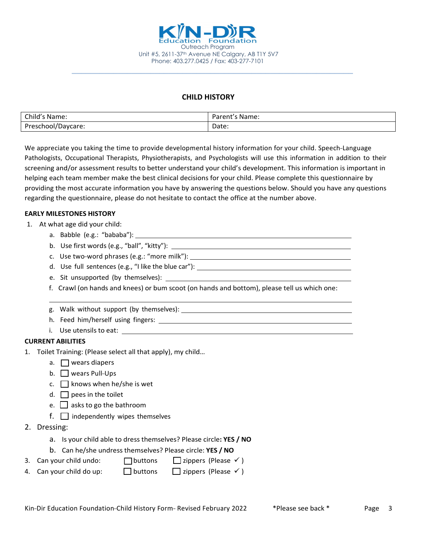

### **CHILD HISTORY**

**\_\_\_\_\_\_\_\_\_\_\_\_\_\_\_\_\_\_\_\_\_\_\_\_\_\_\_\_\_\_\_\_\_\_\_\_\_\_\_\_\_\_\_\_\_\_\_\_\_\_\_\_\_\_\_\_\_\_\_\_\_**

| Child's Name:      | Parent's<br>'s Name: |
|--------------------|----------------------|
| Preschool/Daycare: | Date:<br>.           |

We appreciate you taking the time to provide developmental history information for your child. Speech-Language Pathologists, Occupational Therapists, Physiotherapists, and Psychologists will use this information in addition to their screening and/or assessment results to better understand your child's development. This information is important in helping each team member make the best clinical decisions for your child. Please complete this questionnaire by providing the most accurate information you have by answering the questions below. Should you have any questions regarding the questionnaire, please do not hesitate to contact the office at the number above.

#### **EARLY MILESTONES HISTORY**

- 1. At what age did your child:
	- a. Babble (e.g.: "bababa"):
	- b. Use first words (e.g., "ball", "kitty"):
	- c. Use two-word phrases (e.g.: "more milk"):  $\qquad \qquad$
	- d. Use full sentences (e.g., "I like the blue car"):
	- e. Sit unsupported (by themselves):
	- f. Crawl (on hands and knees) or bum scoot (on hands and bottom), please tell us which one:
	- g. Walk without support (by themselves):
	- h. Feed him/herself using fingers:
	- i. Use utensils to eat:

#### **CURRENT ABILITIES**

- 1. Toilet Training: (Please select all that apply), my child…
	- a.  $\Box$  wears diapers
	- $b.$  Wears Pull-Ups
	- c.  $\Box$  knows when he/she is wet
	- d.  $\Box$  pees in the toilet
	- e.  $\Box$  asks to go the bathroom
	- $f.$   $\Box$  independently wipes themselves
- 2. Dressing:
	- a. Is your child able to dress themselves? Please circle**: YES / NO**
	- b. Can he/she undress themselves? Please circle: **YES / NO**
- 3. Can your child undo:  $\Box$  buttons  $\Box$  zippers (Please  $\checkmark$ )
- 4. Can your child do up:  $\Box$  buttons  $\Box$  zippers (Please  $\checkmark$ )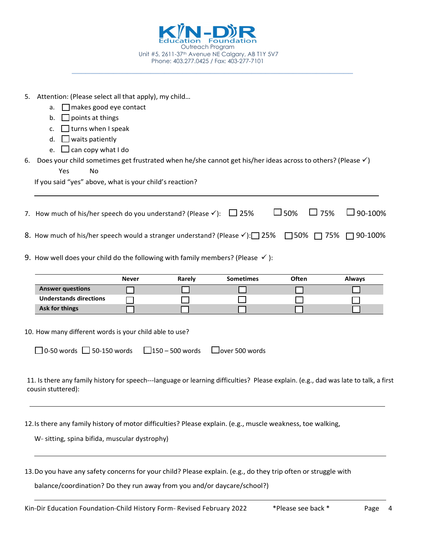|    |                                                                                                                                                                                                                                                                          |              | Outreach Program                        | Unit #5, 2611-37th Avenue NE Calgary, AB T1Y 5V7 |                             |                |
|----|--------------------------------------------------------------------------------------------------------------------------------------------------------------------------------------------------------------------------------------------------------------------------|--------------|-----------------------------------------|--------------------------------------------------|-----------------------------|----------------|
|    |                                                                                                                                                                                                                                                                          |              | Phone: 403.277.0425 / Fax: 403-277-7101 |                                                  |                             |                |
|    | 5. Attention: (Please select all that apply), my child<br>$\Box$ makes good eye contact<br>a.<br>$\Box$ points at things<br>b.<br>$\Box$ turns when I speak<br>c.                                                                                                        |              |                                         |                                                  |                             |                |
| 6. | $\Box$ waits patiently<br>d.<br>$\Box$ can copy what I do<br>e.<br>Does your child sometimes get frustrated when he/she cannot get his/her ideas across to others? (Please $\checkmark$ )<br>Yes<br><b>No</b><br>If you said "yes" above, what is your child's reaction? |              |                                         |                                                  |                             |                |
|    | 7. How much of his/her speech do you understand? (Please $\checkmark$ ): $\Box$ 25%                                                                                                                                                                                      |              |                                         |                                                  | $\square$ 50%<br>$\Box$ 75% | $\Box$ 90-100% |
|    | 8. How much of his/her speech would a stranger understand? (Please $\checkmark$ ): 25% 25% 36% 36% 35%<br>9. How well does your child do the following with family members? (Please $\checkmark$ ):                                                                      |              |                                         |                                                  |                             | $\Box$ 90-100% |
|    |                                                                                                                                                                                                                                                                          |              |                                         | <b>Sometimes</b>                                 | <b>Often</b>                |                |
|    | <b>Answer questions</b><br><b>Understands directions</b><br>Ask for things                                                                                                                                                                                               | <b>Never</b> | Rarely                                  |                                                  |                             | <b>Always</b>  |
|    | 10. How many different words is your child able to use?                                                                                                                                                                                                                  |              |                                         |                                                  |                             |                |
|    | $\Box$ 0-50 words $\Box$ 50-150 words                                                                                                                                                                                                                                    |              | $\Box$ 150 – 500 words                  | $\Box$ over 500 words                            |                             |                |
|    | 11. Is there any family history for speech---language or learning difficulties? Please explain. (e.g., dad was late to talk, a first<br>cousin stuttered):                                                                                                               |              |                                         |                                                  |                             |                |
|    |                                                                                                                                                                                                                                                                          |              |                                         |                                                  |                             |                |
|    | 12. Is there any family history of motor difficulties? Please explain. (e.g., muscle weakness, toe walking,<br>W- sitting, spina bifida, muscular dystrophy)                                                                                                             |              |                                         |                                                  |                             |                |

13.Do you have any safety concerns for your child? Please explain. (e.g., do they trip often or struggle with

balance/coordination? Do they run away from you and/or daycare/school?)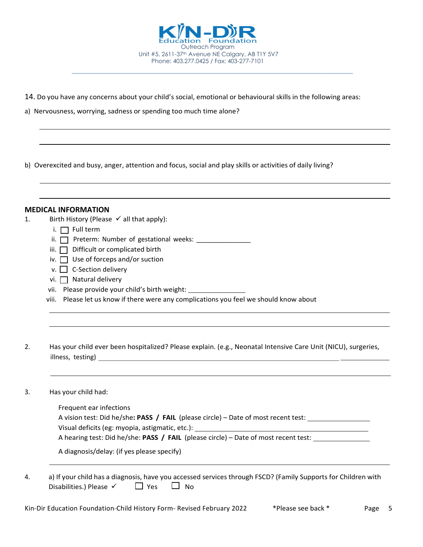

**\_\_\_\_\_\_\_\_\_\_\_\_\_\_\_\_\_\_\_\_\_\_\_\_\_\_\_\_\_\_\_\_\_\_\_\_\_\_\_\_\_\_\_\_\_\_\_\_\_\_\_\_\_\_\_\_\_\_\_\_\_**

- 14. Do you have any concerns about your child's social, emotional or behavioural skills in the following areas:
- a) Nervousness, worrying, sadness or spending too much time alone?

b) Overexcited and busy, anger, attention and focus, social and play skills or activities of daily living?

|    | <b>MEDICAL INFORMATION</b>                                                                                    |
|----|---------------------------------------------------------------------------------------------------------------|
|    |                                                                                                               |
| 1. | Birth History (Please $\checkmark$ all that apply):                                                           |
|    | i. $\Box$ Full term                                                                                           |
|    | Preterm: Number of gestational weeks: _______________<br>ii. $\Box$                                           |
|    | Difficult or complicated birth<br>iii. $\Box$                                                                 |
|    | Use of forceps and/or suction<br>iv. I                                                                        |
|    | C-Section delivery<br>V.                                                                                      |
|    | vi. $\Box$ Natural delivery                                                                                   |
|    | vii. Please provide your child's birth weight:                                                                |
|    | viii. Please let us know if there were any complications you feel we should know about                        |
|    |                                                                                                               |
|    |                                                                                                               |
|    |                                                                                                               |
|    |                                                                                                               |
| 2. | Has your child ever been hospitalized? Please explain. (e.g., Neonatal Intensive Care Unit (NICU), surgeries, |
|    |                                                                                                               |
|    |                                                                                                               |
|    |                                                                                                               |
| 3. | Has your child had:                                                                                           |
|    | Frequent ear infections                                                                                       |
|    | A vision test: Did he/she: PASS / FAIL (please circle) – Date of most recent test: _________________          |
|    |                                                                                                               |
|    | A hearing test: Did he/she: PASS / FAIL (please circle) – Date of most recent test:                           |
|    |                                                                                                               |
|    | A diagnosis/delay: (if yes please specify)                                                                    |

4. a) If your child has a diagnosis, have you accessed services through FSCD? (Family Supports for Children with Disabilities.) Please  $\checkmark$   $\Box$  Yes  $\Box$  No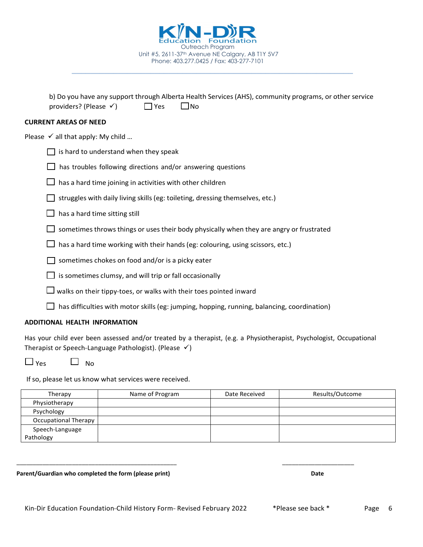$\mathbf{S}$ 

 $\sim$ 

Has your child ever been assessed and/or treated by a therapist, (e.g. a Physiotherapist, Psychologist, Occupational Therapist or Speech-Language Pathologist). (Please  $\checkmark$ )

 $\Box$  Yes  $\Box$  No

If so, please let us know what services were received.

| Therapy              | Name of Program | Date Received | Results/Outcome |
|----------------------|-----------------|---------------|-----------------|
| Physiotherapy        |                 |               |                 |
| Psychology           |                 |               |                 |
| Occupational Therapy |                 |               |                 |
| Speech-Language      |                 |               |                 |
| Pathology            |                 |               |                 |

\_\_\_\_\_\_\_\_\_\_\_\_\_\_\_\_\_\_\_\_\_\_\_\_\_\_\_\_\_\_\_\_\_\_\_\_\_\_\_\_\_\_\_\_\_\_\_\_\_ \_\_\_\_\_\_\_\_\_\_\_\_\_\_\_\_\_\_\_\_\_\_

Parent/Guardian who completed the form (please print) **Date**